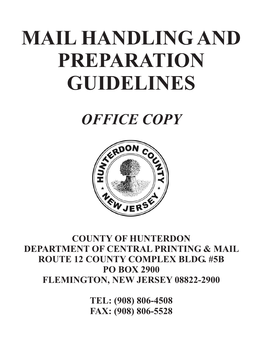# **MAIL HANDLING AND PREPARATION GUIDELINES**

*OFFICE COPY*



#### **COUNTY OF HUNTERDON DEPARTMENT OF CENTRAL PRINTING & MAIL ROUTE 12 COUNTY COMPLEX BLDG. #5B PO BOX 2900 FLEMINGTON, NEW JERSEY 08822-2900**

**TEL: (908) 806-4508 FAX: (908) 806-5528**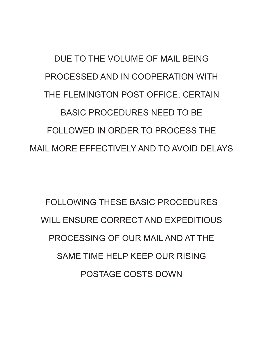## DUE TO THE VOLUME OF MAIL BEING PROCESSED AND IN COOPERATION WITH THE FLEMINGTON POST OFFICE, CERTAIN BASIC PROCEDURES NEED TO BE FOLLOWED IN ORDER TO PROCESS THE MAIL MORE EFFECTIVELY AND TO AVOID DELAYS

FOLLOWING THESE BASIC PROCEDURES WILL ENSURE CORRECT AND EXPEDITIOUS PROCESSING OF OUR MAIL AND AT THE SAME TIME HELP KEEP OUR RISING POSTAGE COSTS DOWN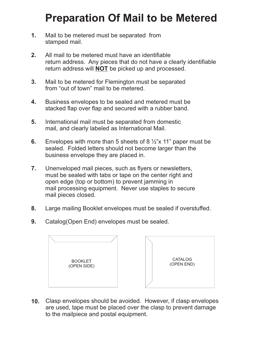### **Preparation Of Mail to be Metered**

- Mail to be metered must be separated from stamped mail. **1.**
- All mail to be metered must have an identifiable return address. Any pieces that do not have a clearly identifiable return address will **NOT** be picked up and processed. **2.**
- Mail to be metered for Flemington must be separated from "out of town" mail to be metered. **3.**
- Business envelopes to be sealed and metered must be stacked flap over flap and secured with a rubber band. **4.**
- International mail must be separated from domestic mail, and clearly labeled as International Mail. **5.**
- Envelopes with more than 5 sheets of 8  $\frac{1}{2}$ "x 11" paper must be sealed. Folded letters should not become larger than the business envelope they are placed in. **6.**
- Unenveloped mail pieces, such as flyers or newsletters, must be sealed with tabs or tape on the center right and open edge (top or bottom) to prevent jamming in mail processing equipment. Never use staples to secure mail pieces closed. **7.**
- Large mailing Booklet envelopes must be sealed if overstuffed. **8.**
- Catalog(Open End) envelopes must be sealed. **9.**





Clasp envelopes should be avoided. However, if clasp envelopes are used, tape must be placed over the clasp to prevent damage to the mailpiece and postal equipment. **10.**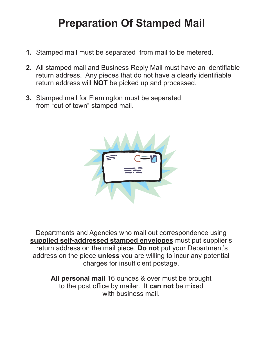### **Preparation Of Stamped Mail**

- Stamped mail must be separated from mail to be metered. **1.**
- All stamped mail and Business Reply Mail must have an identifiable **2.** return address. Any pieces that do not have a clearly identifiable return address will **NOT** be picked up and processed.
- Stamped mail for Flemington must be separated **3.**from "out of town" stamped mail.



Departments and Agencies who mail out correspondence using supplied self-addressed stamped envelopes must put supplier's return address on the mail piece. Do not put your Department's address on the piece unless you are willing to incur any potential charges for insufficient postage.

> All personal mail 16 ounces & over must be brought to the post office by mailer. It **can not** be mixed with business mail.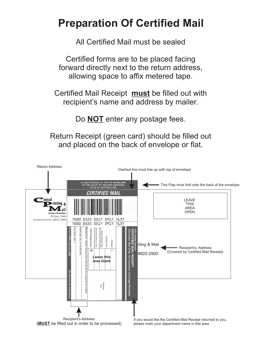### **Preparation Of Certified Mail**

All Certified Mail must be sealed

Certified forms are to be placed facing forward directly next to the return address, allowing space to affix metered tape.

Certified Mail Receipt must be filled out with recipient's name and address by mailer.

Do **NOT** enter any postage fees.

Return Receipt (green card) should be filled out and placed on the back of envelope or flat.

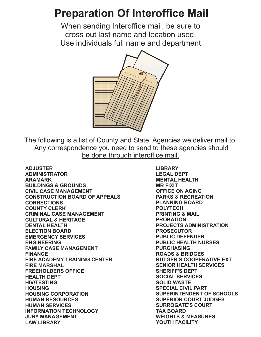### **Preparation Of Interoffice Mail**

When sending Interoffice mail, be sure to cross out last name and location used. Use individuals full name and department



The following is a list of County and State Agencies we deliver mail to. Any correspondence you need to send to these agencies should be done through interoffice mail.

**ADJUSTER ADMINISTRATOR ARAMARK BUILDINGS & GROUNDS CIVIL CASE MANAGEMENT CONSTRUCTION BOARD OF APPEALS CORRECTIONS COUNTY CLERK CRIMINAL CASE MANAGEMENT CULTURAL & HERITAGE DENTAL HEALTH ELECTION BOARD EMERGENCY SERVICES ENGINEERING FAMILY CASE MANAGEMENT FINANCE FIRE ACADEMY TRAINING CENTER FIRE MARSHAL FREEHOLDERS OFFICE HEALTH DEPT HIV/TESTING HOUSING HOUSING CORPORATION HUMAN RESOURCES HUMAN SERVICES INFORMATION TECHNOLOGY JURY MANAGEMENT LAW LIBRARY**

**LIBRARY LEGAL DEPT MENTAL HEALTH MR FIXIT OFFICE ON AGING PARKS & RECREATION PLANNING BOARD POLYTECH PRINTING & MAIL PROBATION PROJECTS ADMINISTRATION PROSECUTOR PUBLIC DEFENDER PUBLIC HEALTH NURSES PURCHASING ROADS & BRIDGES RUTGER'S COOPERATIVE EXT SENIOR HEALTH SERVICES SHERIFF'S DEPT SOCIAL SERVICES SOLID WASTE SPECIAL CIVIL PART SUPERINTENDENT OF SCHOOLS SUPERIOR COURT JUDGES SURROGATE'S COURT TAX BOARD WEIGHTS & MEASURES YOUTH FACILITY**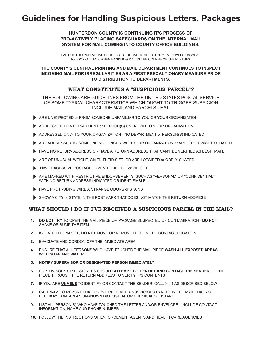#### **Guidelines for Handling Suspicious Letters, Packages**

#### **HUNTERDON COUNTY IS CONTINUING IT'S PROCESS OF PRO-ACTIVELY PLACING SAFEGUARDS ON THE INTERNAL MAIL SYSTEM FOR MAIL COMING INTO COUNTY OFFICE BUILDINGS.**

PART OF THIS PRO-ACTIVE PROCESS IS EDUCATING ALL COUNTY EMPLOYEES ON WHAT TO LOOK OUT FOR WHEN HANDLING MAIL IN THE COURSE OF THEIR DUTIES.

#### **THE COUNTY'S CENTRAL PRINTING AND MAIL DEPARTMENT CONTINUES TO INSPECT INCOMING MAIL FOR IRREGULARITIES AS A FIRST PRECAUTIONARY MEASURE PRIOR TO DISTRIBUTION TO DEPARTMENTS.**

#### **WHAT CONSTITUTES A "SUSPICIOUS PARCEL"?**

THE FOLLOWING ARE GUIDELINES FROM THE UNITED STATES POSTAL SERVICE OF SOME TYPICAL CHARACTERISTICS WHICH OUGHT TO TRIGGER SUSPICION INCLUDE MAIL AND PARCELS THAT:

- ARE UNEXPECTED or FROM SOMEONE UNFAMILIAR TO YOU OR YOUR ORGANIZATION
- ADDRESSED TO A DEPARTMENT or PERSON(S) UNKNOWN TO YOUR ORGANIZATION
- ADDRESSED ONLY TO YOUR ORGANIZATION NO DEPARTMENT or PERSON(S) INDICATED
- ARE ADDRESSED TO SOMEONE NO LONGER WITH YOUR ORGANIZATION or ARE OTHERWISE OUTDATED
- HAVE NO RETURN ADDRESS OR HAVE A RETURN ADDRESS THAT CAN'T BE VERIFIED AS LEGITIMATE
- ARE OF UNUSUAL WEIGHT, GIVEN THEIR SIZE, OR ARE LOPSIDED or ODDLY SHAPED
- HAVE EXCESSIVE POSTAGE, GIVEN THEIR SIZE or WEIGHT
- ARE MARKED WITH RESTRICTIVE ENDORSEMENTS, SUCH AS "PERSONAL" OR "CONFIDENTIAL" WITH NO RETURN ADDRESS INDICATED OR IDENTIFIABLE
- HAVE PROTRUDING WIRES, STRANGE ODORS or STAINS
- SHOW A CITY or STATE IN THE POSTMARK THAT DOES NOT MATCH THE RETURN ADDRESS

#### **WHAT SHOULD I DO IF I'VE RECEIVED A SUSPICIOUS PARCEL IN THE MAIL?**

- 1. **<u>DO NOT</u> TRY TO OPEN THE MAIL PIECE OR PACKAGE SUSPECTED OF CONTAMINATION DO NOT</u>** SHAKE OR BUMP THE ITEM
- **2.** ISOLATE THE PARCEL, DO NOT MOVE OR REMOVE IT FROM THE CONTACT LOCATION
- EVACUATE AND CORDON OFF THE IMMEDIATE AREA **3.**
- ENSURE THAT ALL PERSONS WHO HAVE TOUCHED THE MAIL PIECE **WASH ALL EXPOSED AREAS WITH SOAP AND WATER 4.**
- **NOTIFY SUPERVISOR OR DESIGNATED PERSON IMMEDIATELY 5.**
- 6. SUPERVISORS OR DESIGNEES SHOULD <u>ATTEMPT TO IDENTIFY AND CONTACT THE SENDER</u> OF THE PIECE THROUGH THE RETURN ADDRESS TO VERIFY IT'S CONTENTS
- **7.** IF YOU ARE <u>UNABLE</u> TO IDENTIFY OR CONTACT THE SENDER, CALL 9-1-1 AS DESCRIBED BELOW
- **8. CALL 9-1-1** TO REPORT THAT YOU'VE RECEIVED A SUSPICIOUS PARCEL IN THE MAIL THAT YOU FEEL <u>MAY</u> CONTAIN AN UNKNOWN BIOLOGICAL OR CHEMICAL SUBSTANCE
- LIST ALL PERSON(S) WHO HAVE TOUCHED THE LETTER AND/OR ENVELOPE. INCLUDE CONTACT **9.** INFORMATION, NAME AND PHONE NUMBER
- FOLLOW THE INSTRUCTIONS OF ENFORCEMENT AGENTS AND HEALTH CARE AGENCIES **10.**